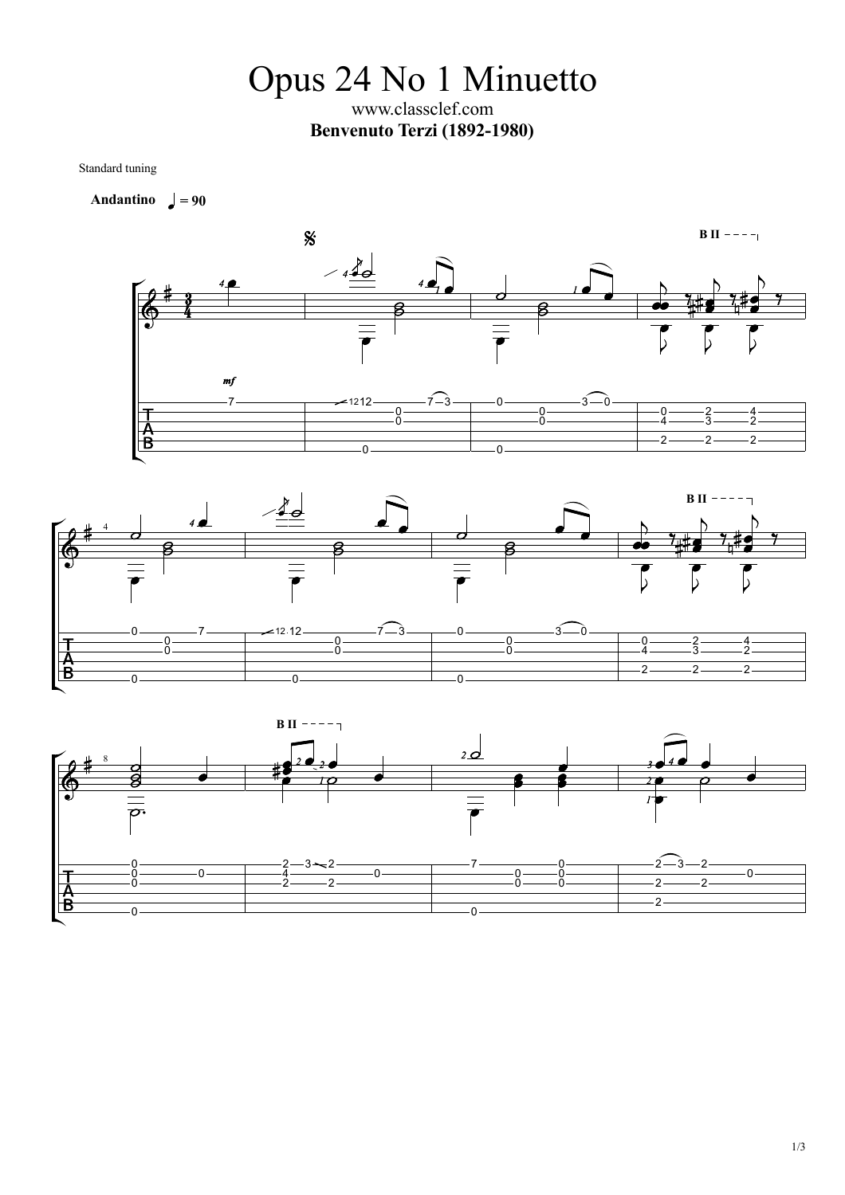## Opus 24 No 1 Minuetto www.classclef.com

**Benvenuto Terzi (1892-1980)**

Standard tuning







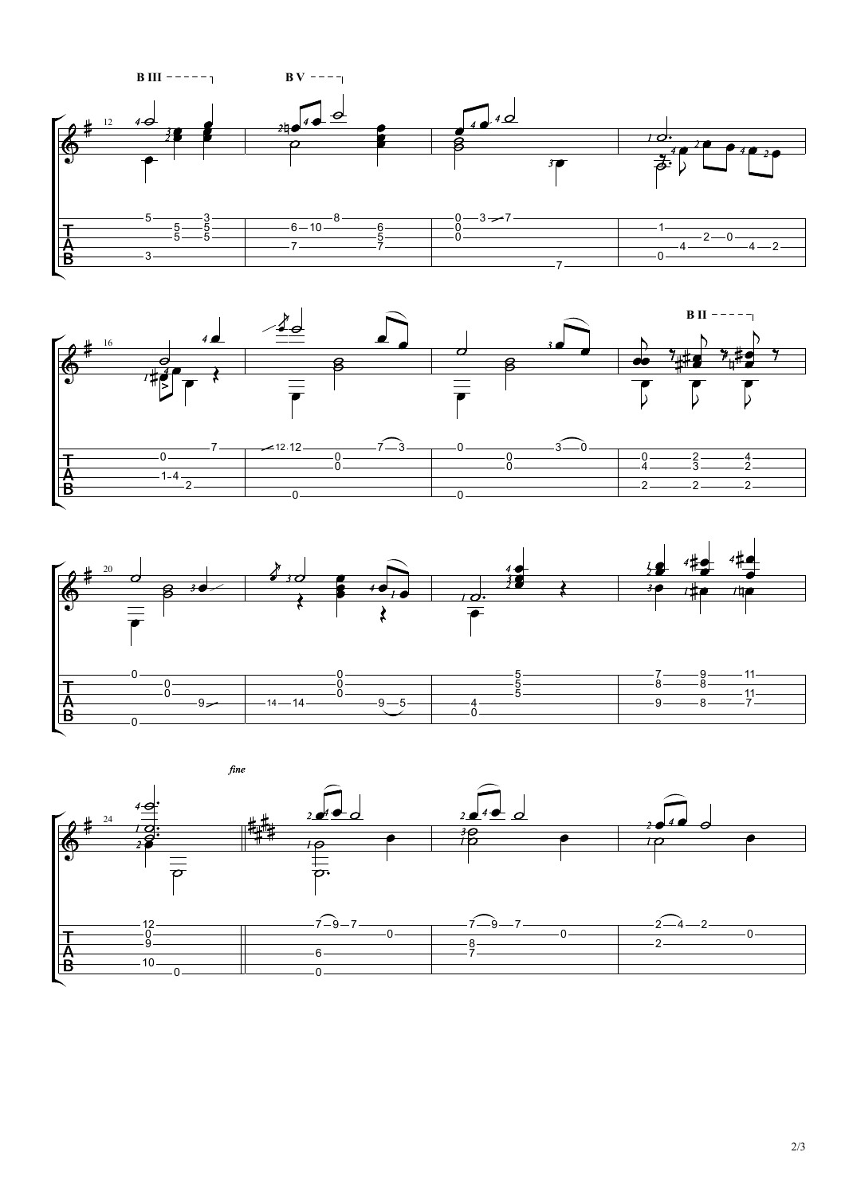





 $\begin{array}{c}\n\begin{array}{c}\n2\end{array}\n\end{array}$ fine  $2\sqrt{d}$  $\rightarrow$  $\frac{1}{\overline{\rho}}$  $\frac{1}{\sqrt{2}}$  $\frac{1}{\sqrt{2}}$  $-2-4$  $-7 - 9 - 7$   $7-9-7$  7  $9 - 7$   $\overline{\phantom{27x}}$  $4 - 2$   $\overline{\phantom{a}1}$  $\begin{array}{c|c}\n-0 & \longrightarrow & 8 \\
\hline\n8 & 7\n\end{array}$  $\begin{array}{|c|c|c|}\n\hline\n-0 & 2 \\
\hline\n2 & 2\n\end{array}$  $-0 \overline{\mathfrak{g}}$   $\longrightarrow$  $\frac{9 - 2}{\sqrt{2}}$   $\frac{1}{10}$  $6 \longrightarrow$   $\begin{array}{c} \hline \rule{0mm}{2mm} \rule[0mm]{0mm}{2mm} \rule[0mm]{0mm}{2mm} \rule[0mm]{0mm}{2mm} \rule[0mm]{0mm}{2mm} \rule[0mm]{0mm}{2mm} \rule[0mm]{0mm}{2mm} \rule[0mm]{0mm}{2mm} \rule[0mm]{0mm}{2mm} \rule[0mm]{0mm}{2mm} \rule[0mm]{0mm}{2mm} \rule[0mm]{0mm}{2mm} \rule[0mm]{0mm}{2mm} \rule[0mm]{0mm}{2mm} \rule[0mm]{0mm}{2mm} \rule[0mm]{0mm}{2mm} \rule[0mm]{0mm}{2mm} \rule[0mm]{0mm}{$